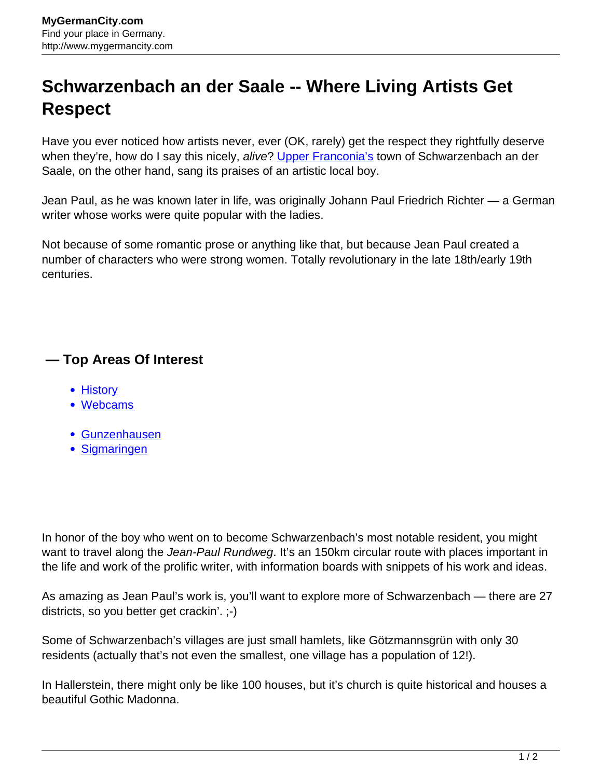## **Schwarzenbach an der Saale -- Where Living Artists Get Respect**

Have you ever noticed how artists never, ever (OK, rarely) get the respect they rightfully deserve when they're, how do I say this nicely, alive? [Upper Franconia's](http://www.mygermancity.com/upper-franconia) town of Schwarzenbach an der Saale, on the other hand, sang its praises of an artistic local boy.

Jean Paul, as he was known later in life, was originally Johann Paul Friedrich Richter — a German writer whose works were quite popular with the ladies.

Not because of some romantic prose or anything like that, but because Jean Paul created a number of characters who were strong women. Totally revolutionary in the late 18th/early 19th centuries.

## **— Top Areas Of Interest**

- **[History](http://www.mygermancity.com/leipzig-history)**
- [Webcams](http://www.mygermancity.com/neustadt-holstein-webcams)
- [Gunzenhausen](http://www.mygermancity.com/gunzenhausen)
- [Sigmaringen](http://www.mygermancity.com/sigmaringen)

In honor of the boy who went on to become Schwarzenbach's most notable resident, you might want to travel along the Jean-Paul Rundweg. It's an 150km circular route with places important in the life and work of the prolific writer, with information boards with snippets of his work and ideas.

As amazing as Jean Paul's work is, you'll want to explore more of Schwarzenbach — there are 27 districts, so you better get crackin'. ;-)

Some of Schwarzenbach's villages are just small hamlets, like Götzmannsgrün with only 30 residents (actually that's not even the smallest, one village has a population of 12!).

In Hallerstein, there might only be like 100 houses, but it's church is quite historical and houses a beautiful Gothic Madonna.